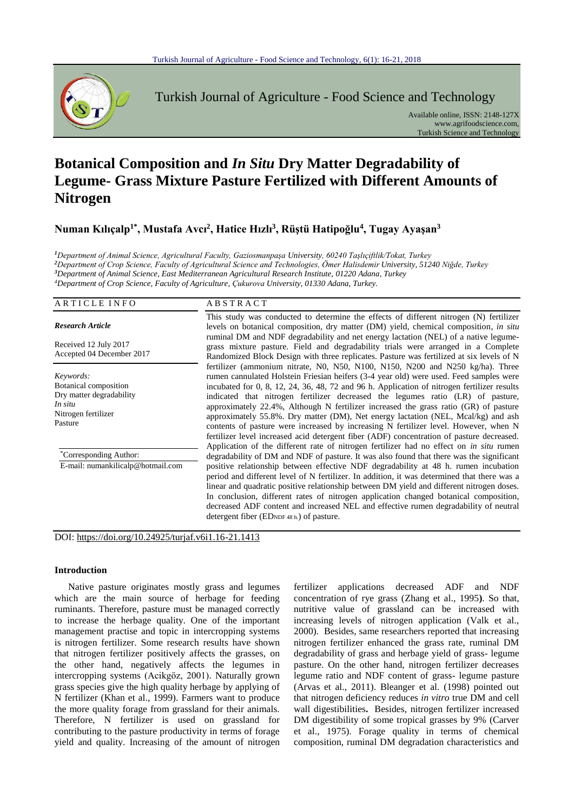

Turkish Journal of Agriculture - Food Science and Technology

Available online, ISSN: 2148-127X www.agrifoodscience.com, Turkish Science and Technology

# **Botanical Composition and** *In Situ* **Dry Matter Degradability of Legume- Grass Mixture Pasture Fertilized with Different Amounts of Nitrogen**

**Numan Kılıçalp1\*, Mustafa Avcı<sup>2</sup> , Hatice Hızlı<sup>3</sup> , Rüştü Hatipoğlu<sup>4</sup> , Tugay Ayaşan<sup>3</sup>**

*Department of Animal Science, Agricultural Faculty, Gaziosmanpaşa University, 60240 Taşlıçiftlik/Tokat, Turkey Department of Crop Science, Faculty of Agricultural Science and Technologies, Ömer Halisdemir University, 51240 Niğde, Turkey Department of Animal Science, East Mediterranean Agricultural Research Institute, 01220 Adana, Turkey Department of Crop Science, Faculty of Agriculture, Çukurova University, 01330 Adana, Turkey.* 

| ARTICLE INFO                                                                                                | <b>ABSTRACT</b>                                                                                                                                                                                                                                                                                                                                                                                                                                                                                                                                                                                                                                                                                                                   |
|-------------------------------------------------------------------------------------------------------------|-----------------------------------------------------------------------------------------------------------------------------------------------------------------------------------------------------------------------------------------------------------------------------------------------------------------------------------------------------------------------------------------------------------------------------------------------------------------------------------------------------------------------------------------------------------------------------------------------------------------------------------------------------------------------------------------------------------------------------------|
| <b>Research Article</b>                                                                                     | This study was conducted to determine the effects of different nitrogen (N) fertilizer<br>levels on botanical composition, dry matter (DM) yield, chemical composition, in situ                                                                                                                                                                                                                                                                                                                                                                                                                                                                                                                                                   |
| Received 12 July 2017<br>Accepted 04 December 2017                                                          | ruminal DM and NDF degradability and net energy lactation (NEL) of a native legume-<br>grass mixture pasture. Field and degradability trials were arranged in a Complete<br>Randomized Block Design with three replicates. Pasture was fertilized at six levels of N                                                                                                                                                                                                                                                                                                                                                                                                                                                              |
| Keywords:<br>Botanical composition<br>Dry matter degradability<br>In situ<br>Nitrogen fertilizer<br>Pasture | fertilizer (ammonium nitrate, N0, N50, N100, N150, N200 and N250 kg/ha). Three<br>rumen cannulated Holstein Friesian heifers (3-4 year old) were used. Feed samples were<br>incubated for 0, 8, 12, 24, 36, 48, 72 and 96 h. Application of nitrogen fertilizer results<br>indicated that nitrogen fertilizer decreased the legumes ratio (LR) of pasture,<br>approximately 22.4%, Although N fertilizer increased the grass ratio (GR) of pasture<br>approximately 55.8%. Dry matter $(DM)$ , Net energy lactation $(NEL, Mcal/kg)$ and ash<br>contents of pasture were increased by increasing N fertilizer level. However, when N<br>fertilizer level increased acid detergent fiber (ADF) concentration of pasture decreased. |
| "Corresponding Author:<br>E-mail: numankilicalp@hotmail.com                                                 | Application of the different rate of nitrogen fertilizer had no effect on <i>in situ</i> rumen<br>degradability of DM and NDF of pasture. It was also found that there was the significant<br>positive relationship between effective NDF degradability at 48 h. rumen incubation<br>period and different level of N fertilizer. In addition, it was determined that there was a<br>linear and quadratic positive relationship between DM yield and different nitrogen doses.<br>In conclusion, different rates of nitrogen application changed botanical composition,<br>decreased ADF content and increased NEL and effective rumen degradability of neutral<br>detergent fiber ( $EDNDF 48 h$ ) of pasture.                    |

DOI: https://doi.org/10.24925/turjaf.v6i1.16-21.1413

## **Introduction**

Native pasture originates mostly grass and legumes which are the main source of herbage for feeding ruminants. Therefore, pasture must be managed correctly to increase the herbage quality. One of the important management practise and topic in intercropping systems is nitrogen fertilizer. Some research results have shown that nitrogen fertilizer positively affects the grasses, on the other hand, negatively affects the legumes in intercropping systems (Acikgöz, 2001). Naturally grown grass species give the high quality herbage by applying of N fertilizer (Khan et al., 1999). Farmers want to produce the more quality forage from grassland for their animals. Therefore, N fertilizer is used on grassland for contributing to the pasture productivity in terms of forage yield and quality. Increasing of the amount of nitrogen

fertilizer applications decreased ADF and NDF concentration of rye grass (Zhang et al., 1995**)**. So that, nutritive value of grassland can be increased with increasing levels of nitrogen application (Valk et al., 2000). Besides, same researchers reported that increasing nitrogen fertilizer enhanced the grass rate, ruminal DM degradability of grass and herbage yield of grass- legume pasture. On the other hand, nitrogen fertilizer decreases legume ratio and NDF content of grass- legume pasture (Arvas et al., 2011). Bleanger et al. (1998) pointed out that nitrogen deficiency reduces *in vitro* true DM and cell wall digestibilities**.** Besides, nitrogen fertilizer increased DM digestibility of some tropical grasses by 9% (Carver et al., 1975). Forage quality in terms of chemical composition, ruminal DM degradation characteristics and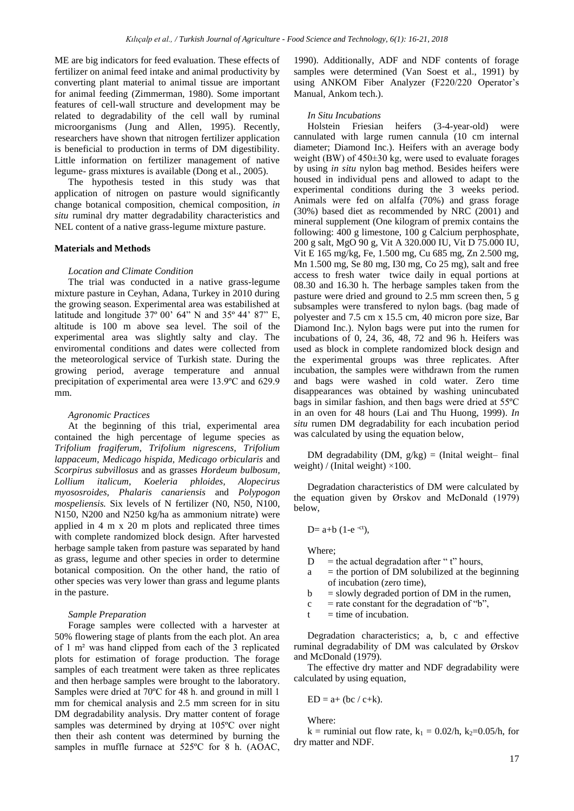ME are big indicators for feed evaluation. These effects of fertilizer on animal feed intake and animal productivity by converting plant material to animal tissue are important for animal feeding (Zimmerman, 1980). Some important features of cell-wall structure and development may be related to degradability of the cell wall by ruminal microorganisms (Jung and Allen, 1995). Recently, researchers have shown that nitrogen fertilizer application is beneficial to production in terms of DM digestibility. Little information on fertilizer management of native legume- grass mixtures is available (Dong et al., 2005).

The hypothesis tested in this study was that application of nitrogen on pasture would significantly change botanical composition, chemical composition, *in situ* ruminal dry matter degradability characteristics and NEL content of a native grass-legume mixture pasture.

## **Materials and Methods**

## *Location and Climate Condition*

The trial was conducted in a native grass-legume mixture pasture in Ceyhan, Adana, Turkey in 2010 during the growing season. Experimental area was estabilished at latitude and longitude 37º 00' 64" N and 35º 44' 87" E, altitude is 100 m above sea level. The soil of the experimental area was slightly salty and clay. The enviromental conditions and dates were collected from the meteorological service of Turkish state. During the growing period, average temperature and annual precipitation of experimental area were 13.9ºC and 629.9 mm.

#### *Agronomic Practices*

At the beginning of this trial, experimental area contained the high percentage of legume species as *Trifolium fragiferum, Trifolium nigrescens, Trifolium lappaceum, Medicago hispida, Medicago orbicularis* and *Scorpirus subvillosus* and as grasses *Hordeum bulbosum, Lollium italicum, Koeleria phloides, Alopecirus myososroides, Phalaris canariensis* and *Polypogon mospeliensis.* Six levels of N fertilizer (N0, N50, N100, N150, N200 and N250 kg/ha as ammonium nitrate) were applied in 4 m x 20 m plots and replicated three times with complete randomized block design. After harvested herbage sample taken from pasture was separated by hand as grass, legume and other species in order to determine botanical composition. On the other hand, the ratio of other species was very lower than grass and legume plants in the pasture.

#### *Sample Preparation*

Forage samples were collected with a harvester at 50% flowering stage of plants from the each plot. An area of 1 m² was hand clipped from each of the 3 replicated plots for estimation of forage production. The forage samples of each treatment were taken as three replicates and then herbage samples were brought to the laboratory. Samples were dried at 70ºC for 48 h. and ground in mill 1 mm for chemical analysis and 2.5 mm screen for in situ DM degradability analysis. Dry matter content of forage samples was determined by drying at 105ºC over night then their ash content was determined by burning the samples in muffle furnace at 525ºC for 8 h. (AOAC,

1990). Additionally, ADF and NDF contents of forage samples were determined (Van Soest et al., 1991) by using ANKOM Fiber Analyzer (F220/220 Operator's Manual, Ankom tech.).

#### *In Situ Incubations*

Holstein Friesian heifers (3-4-year-old) were cannulated with large rumen cannula (10 cm internal diameter; Diamond Inc.). Heifers with an average body weight (BW) of 450±30 kg, were used to evaluate forages by using *in situ* nylon bag method. Besides heifers were housed in individual pens and allowed to adapt to the experimental conditions during the 3 weeks period. Animals were fed on alfalfa (70%) and grass forage (30%) based diet as recommended by NRC (2001) and mineral supplement (One kilogram of premix contains the following: 400 g limestone, 100 g Calcium perphosphate, 200 g salt, MgO 90 g, Vit A 320.000 IU, Vit D 75.000 IU, Vit E 165 mg/kg, Fe, 1.500 mg, Cu 685 mg, Zn 2.500 mg, Mn 1.500 mg, Se 80 mg, I30 mg, Co 25 mg), salt and free access to fresh water twice daily in equal portions at 08.30 and 16.30 h. The herbage samples taken from the pasture were dried and ground to 2.5 mm screen then, 5 g subsamples were transfered to nylon bags. (bag made of polyester and 7.5 cm x 15.5 cm, 40 micron pore size, Bar Diamond Inc.). Nylon bags were put into the rumen for incubations of 0, 24, 36, 48, 72 and 96 h. Heifers was used as block in complete randomized block design and the experimental groups was three replicates. After incubation, the samples were withdrawn from the rumen and bags were washed in cold water. Zero time disappearances was obtained by washing unincubated bags in similar fashion, and then bags were dried at 55ºC in an oven for 48 hours (Lai and Thu Huong, 1999). *In situ* rumen DM degradability for each incubation period was calculated by using the equation below,

DM degradability (DM,  $g/kg$ ) = (Inital weight– final weight) / (Inital weight)  $\times$ 100.

Degradation characteristics of DM were calculated by the equation given by Ørskov and McDonald (1979) below,

$$
D = a+b (1-e^{-ct}),
$$

Where;

- $D =$  the actual degradation after " t" hours,
- $a$  = the portion of DM solubilized at the beginning of incubation (zero time),
- $b =$  slowly degraded portion of DM in the rumen,
- $c =$  rate constant for the degradation of "b",
- $t =$  time of incubation.

Degradation characteristics; a, b, c and effective ruminal degradability of DM was calculated by Ørskov and McDonald (1979).

The effective dry matter and NDF degradability were calculated by using equation,

$$
ED = a+ (bc / c+k).
$$

Where:

k = ruminial out flow rate,  $k_1 = 0.02/h$ ,  $k_2=0.05/h$ , for dry matter and NDF.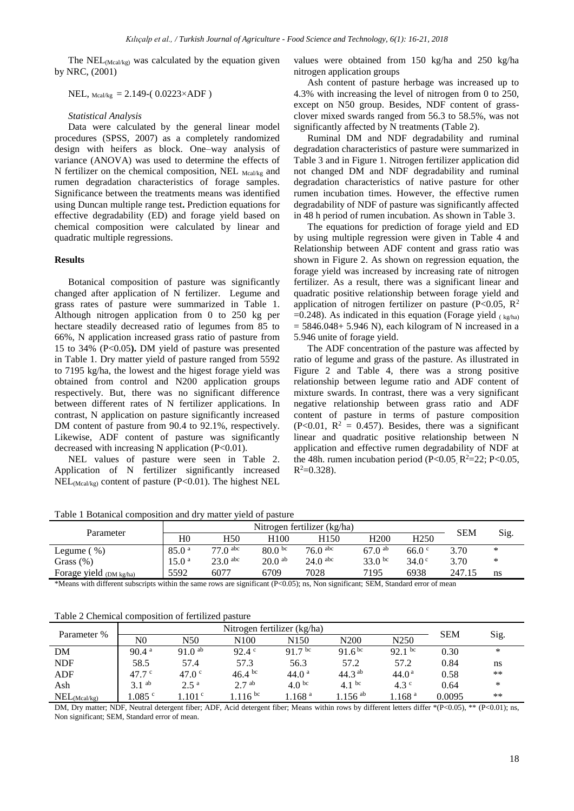The  $NEL_{(Meal/ke)}$  was calculated by the equation given by NRC, (2001)

NEL,  $_{\text{Meal/kg}}$  = 2.149-( 0.0223×ADF )

#### *Statistical Analysis*

Data were calculated by the general linear model procedures (SPSS, 2007) as a completely randomized design with heifers as block. One–way analysis of variance (ANOVA) was used to determine the effects of N fertilizer on the chemical composition, NEL Mcal/kg and rumen degradation characteristics of forage samples. Significance between the treatments means was identified using Duncan multiple range test**.** Prediction equations for effective degradability (ED) and forage yield based on chemical composition were calculated by linear and quadratic multiple regressions.

## **Results**

Botanical composition of pasture was significantly changed after application of N fertilizer. Legume and grass rates of pasture were summarized in Table 1. Although nitrogen application from 0 to 250 kg per hectare steadily decreased ratio of legumes from 85 to 66%, N application increased grass ratio of pasture from 15 to 34% (P<0.05**).** DM yield of pasture was presented in Table 1. Dry matter yield of pasture ranged from 5592 to 7195 kg/ha, the lowest and the higest forage yield was obtained from control and N200 application groups respectively. But, there was no significant difference between different rates of N fertilizer applications. In contrast, N application on pasture significantly increased DM content of pasture from 90.4 to 92.1%, respectively. Likewise, ADF content of pasture was significantly decreased with increasing N application  $(P<0.01)$ .

NEL values of pasture were seen in Table 2. Application of N fertilizer significantly increased  $NEL_{(Meal/ke)}$  content of pasture (P<0.01). The highest NEL values were obtained from 150 kg/ha and 250 kg/ha nitrogen application groups

Ash content of pasture herbage was increased up to 4.3% with increasing the level of nitrogen from 0 to 250, except on N50 group. Besides, NDF content of grassclover mixed swards ranged from 56.3 to 58.5%, was not significantly affected by N treatments (Table 2).

Ruminal DM and NDF degradability and ruminal degradation characteristics of pasture were summarized in Table 3 and in Figure 1. Nitrogen fertilizer application did not changed DM and NDF degradability and ruminal degradation characteristics of native pasture for other rumen incubation times. However, the effective rumen degradability of NDF of pasture was significantly affected in 48 h period of rumen incubation. As shown in Table 3.

The equations for prediction of forage yield and ED by using multiple regression were given in Table 4 and Relationship between ADF content and grass ratio was shown in Figure 2. As shown on regression equation, the forage yield was increased by increasing rate of nitrogen fertilizer. As a result, there was a significant linear and quadratic positive relationship between forage yield and application of nitrogen fertilizer on pasture (P<0.05,  $\mathbb{R}^2$ )  $=0.248$ ). As indicated in this equation (Forage yield ( $kg/ha$ )  $= 5846.048 + 5.946$  N), each kilogram of N increased in a 5.946 unite of forage yield.

The ADF concentration of the pasture was affected by ratio of legume and grass of the pasture. As illustrated in Figure 2 and Table 4, there was a strong positive relationship between legume ratio and ADF content of mixture swards. In contrast, there was a very significant negative relationship between grass ratio and ADF content of pasture in terms of pasture composition  $(P<0.01, R<sup>2</sup> = 0.457)$ . Besides, there was a significant linear and quadratic positive relationship between N application and effective rumen degradability of NDF at the 48h. rumen incubation period (P<0.05,  $R^2 = 22$ ; P<0.05,  $R^2 = 0.328$ .

| Table 1 Botanical composition and dry matter yield of pasture |  |  |  |
|---------------------------------------------------------------|--|--|--|
|---------------------------------------------------------------|--|--|--|

|                         |                   |                       |                    | Nitrogen fertilizer (kg/ha) |                  |                   |            |      |
|-------------------------|-------------------|-----------------------|--------------------|-----------------------------|------------------|-------------------|------------|------|
| Parameter               | $_{\rm H0}$       | H50                   | H100               | H150                        | H <sub>200</sub> | H <sub>250</sub>  | <b>SEM</b> | Sig. |
| $\%$<br>Legume (        | 85.0 <sup>a</sup> | $77.0$ <sup>abc</sup> | 80.0 <sup>bc</sup> | $76.0$ <sup>abc</sup>       | $67.0^{ab}$      | 66.0 <sup>c</sup> | 3.70       | ∗    |
| Grass $(\%)$            | 15.0 <sup>a</sup> | $23.0$ abc            | 20.0 <sup>ab</sup> | $24.0$ <sup>abc</sup>       | 33.0 bc          | 34.0 <sup>c</sup> | 3.70       | ∗    |
| Forage yield (DM kg/ha) | 5592              | 6077                  | 6709               | 7028                        | 7195             | 6938              | 247.15     | ns   |

\*Means with different subscripts within the same rows are significant (P<0.05); ns, Non significant; SEM, Standard error of mean

Table 2 Chemical composition of fertilized pasture

| Parameter %      |                   |                    |                   | Nitrogen fertilizer (kg/ha) |                      |                   | <b>SEM</b> |      |
|------------------|-------------------|--------------------|-------------------|-----------------------------|----------------------|-------------------|------------|------|
|                  | $_{\rm N0}$       | N50                | N100              | N150                        | N <sub>200</sub>     | N <sub>250</sub>  |            | Sig. |
| DM               | 90.4 <sup>a</sup> | $91.0^{ab}$        | $92.4^{\circ}$    | 91.7 <sup>bc</sup>          | $91.6^{bc}$          | $92.1$ bc         | 0.30       | *    |
| <b>NDF</b>       | 58.5              | 57.4               | 57.3              | 56.3                        | 57.2                 | 57.2              | 0.84       | ns   |
| ADF              | 47.7 <sup>c</sup> | 47.0 <sup>c</sup>  | $46.4 \text{ bc}$ | 44.0 <sup>a</sup>           | 44.3 <sup>ab</sup>   | 44.0 <sup>a</sup> | 0.58       | **   |
| Ash              | 3.1 <sup>ab</sup> | $2.5^{\mathrm{a}}$ | 2.7 <sup>ab</sup> | 4.0 <sup>bc</sup>           | 4.1 bc               | $4.3^{\circ}$     | 0.64       | ∗    |
| $NEL_{(Ma1/kg)}$ | .085 °            | .101 <sup>c</sup>  | $1.116^{bc}$      | .168 <sup>a</sup>           | $.156$ <sup>ab</sup> | $1.168$ a         | 0.0095     | **   |

DM, Dry matter; NDF, Neutral detergent fiber; ADF, Acid detergent fiber; Means within rows by different letters differ \*(P<0.05), \*\* (P<0.01); ns, Non significant; SEM, Standard error of mean.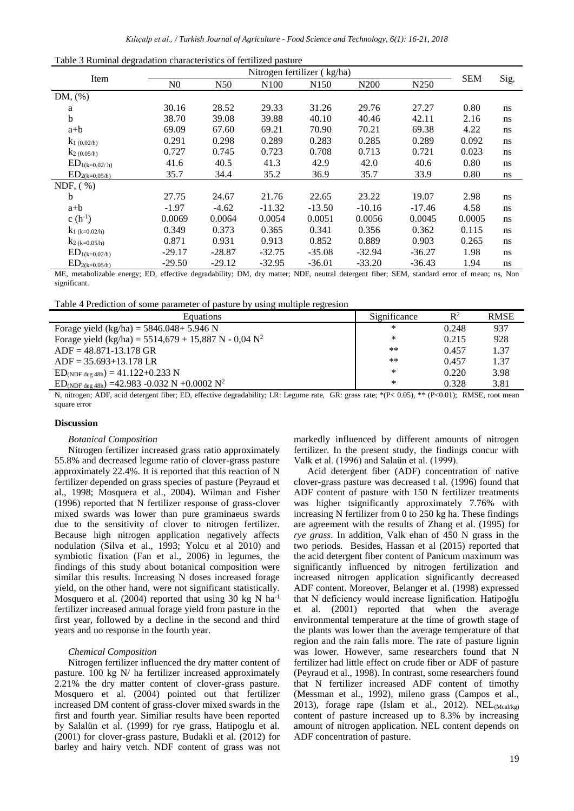|  | Table 3 Ruminal degradation characteristics of fertilized pasture |  |  |  |  |
|--|-------------------------------------------------------------------|--|--|--|--|
|--|-------------------------------------------------------------------|--|--|--|--|

|                    |                |          | Nitrogen fertilizer (kg/ha) |                  |          |                  |            |      |
|--------------------|----------------|----------|-----------------------------|------------------|----------|------------------|------------|------|
| Item               | N <sub>0</sub> | N50      | N100                        | N <sub>150</sub> | N200     | N <sub>250</sub> | <b>SEM</b> | Sig. |
| $DM, (\% )$        |                |          |                             |                  |          |                  |            |      |
| a                  | 30.16          | 28.52    | 29.33                       | 31.26            | 29.76    | 27.27            | 0.80       | ns   |
| $\mathbf b$        | 38.70          | 39.08    | 39.88                       | 40.10            | 40.46    | 42.11            | 2.16       | ns   |
| $a+b$              | 69.09          | 67.60    | 69.21                       | 70.90            | 70.21    | 69.38            | 4.22       | ns   |
| $k_1$ (0.02/h)     | 0.291          | 0.298    | 0.289                       | 0.283            | 0.285    | 0.289            | 0.092      | ns   |
| $k_2(0.05/h)$      | 0.727          | 0.745    | 0.723                       | 0.708            | 0.713    | 0.721            | 0.023      | ns   |
| $ED_{1(k=0.02/h)}$ | 41.6           | 40.5     | 41.3                        | 42.9             | 42.0     | 40.6             | 0.80       | ns   |
| $ED_{2(k=0.05/h)}$ | 35.7           | 34.4     | 35.2                        | 36.9             | 35.7     | 33.9             | 0.80       | ns   |
| NDF, $(\% )$       |                |          |                             |                  |          |                  |            |      |
| b                  | 27.75          | 24.67    | 21.76                       | 22.65            | 23.22    | 19.07            | 2.98       | ns   |
| $a+b$              | $-1.97$        | $-4.62$  | $-11.32$                    | $-13.50$         | $-10.16$ | $-17.46$         | 4.58       | ns   |
| c $(h^{-1})$       | 0.0069         | 0.0064   | 0.0054                      | 0.0051           | 0.0056   | 0.0045           | 0.0005     | ns   |
| $k_1$ (k=0.02/h)   | 0.349          | 0.373    | 0.365                       | 0.341            | 0.356    | 0.362            | 0.115      | ns   |
| $k_{2}$ (k=0.05/h) | 0.871          | 0.931    | 0.913                       | 0.852            | 0.889    | 0.903            | 0.265      | ns   |
| $ED_{1(k=0.02/h)}$ | $-29.17$       | $-28.87$ | $-32.75$                    | $-35.08$         | $-32.94$ | $-36.27$         | 1.98       | ns   |
| $ED_{2(k=0.05/h)}$ | $-29.50$       | $-29.12$ | $-32.95$                    | $-36.01$         | $-33.20$ | $-36.43$         | 1.94       | ns   |

ME, metabolizable energy; ED, effective degradability; DM, dry matter; NDF, neutral detergent fiber; SEM, standard error of mean; ns, Non significant.

Table 4 Prediction of some parameter of pasture by using multiple regresion

| Equations                                                                    | Significance | $\mathbb{R}^2$ | <b>RMSE</b> |
|------------------------------------------------------------------------------|--------------|----------------|-------------|
| Forage yield $(kg/ha) = 5846.048 + 5.946 N$                                  | ∗            | 0.248          | 937         |
| Forage yield (kg/ha) = $5514,679 + 15,887$ N - 0,04 N <sup>2</sup>           | ∗            | 0.215          | 928         |
| $ADF = 48.871 - 13.178$ GR                                                   | **           | 0.457          | 1.37        |
| $ADF = 35.693 + 13.178$ LR                                                   | **           | 0.457          | 1.37        |
| $ED_{(NDF deg 48h)} = 41.122+0.233 N$                                        | *            | 0.220          | 3.98        |
| $ED_{(NDF \text{ deg }48h)} = 42.983 - 0.032 \text{ N} + 0.0002 \text{ N}^2$ | *            | 0.328          | 3.81        |

N, nitrogen; ADF, acid detergent fiber; ED, effective degradability; LR: Legume rate, GR: grass rate; \*(P<0.05), \*\* (P<0.01); RMSE, root mean square error

#### **Discussion**

## *Botanical Composition*

Nitrogen fertilizer increased grass ratio approximately 55.8% and decreased legume ratio of clover-grass pasture approximately 22.4%. It is reported that this reaction of N fertilizer depended on grass species of pasture (Peyraud et al., 1998; Mosquera et al., 2004). Wilman and Fisher (1996) reported that N fertilizer response of grass-clover mixed swards was lower than pure graminaeus swards due to the sensitivity of clover to nitrogen fertilizer. Because high nitrogen application negatively affects nodulation (Silva et al., 1993; Yolcu et al 2010) and symbiotic fixation (Fan et al., 2006) in legumes, the findings of this study about botanical composition were similar this results. Increasing N doses increased forage yield, on the other hand, were not significant statistically. Mosquero et al. (2004) reported that using 30 kg N ha-1 fertilizer increased annual forage yield from pasture in the first year, followed by a decline in the second and third years and no response in the fourth year.

#### *Chemical Composition*

Nitrogen fertilizer influenced the dry matter content of pasture. 100 kg N/ ha fertilizer increased approximately 2.21% the dry matter content of clover-grass pasture. Mosquero et al. (2004) pointed out that fertilizer increased DM content of grass-clover mixed swards in the first and fourth year. Similiar results have been reported by Salalün et al. (1999) for rye grass, Hatipoglu et al. (2001) for clover-grass pasture, Budakli et al. (2012) for barley and hairy vetch. NDF content of grass was not markedly influenced by different amounts of nitrogen fertilizer. In the present study, the findings concur with Valk et al. (1996) and Salaün et al. (1999).

Acid detergent fiber (ADF) concentration of native clover-grass pasture was decreased t al. (1996) found that ADF content of pasture with 150 N fertilizer treatments was higher tsignificantly approximately 7.76% with increasing N fertilizer from 0 to 250 kg ha. These findings are agreement with the results of Zhang et al. (1995) for *rye grass*. In addition, Valk ehan of 450 N grass in the two periods. Besides, Hassan et al (2015) reported that the acid detergent fiber content of Panicum maximum was significantly influenced by nitrogen fertilization and increased nitrogen application significantly decreased ADF content. Moreover, Belanger et al. (1998) expressed that N deficiency would increase lignification. Hatipoğlu et al. (2001) reported that when the average environmental temperature at the time of growth stage of the plants was lower than the average temperature of that region and the rain falls more. The rate of pasture lignin was lower. However, same researchers found that N fertilizer had little effect on crude fiber or ADF of pasture (Peyraud et al., 1998). In contrast, some researchers found that N fertilizer increased ADF content of timothy (Messman et al., 1992), mileno grass (Campos et al., 2013), forage rape (Islam et al., 2012).  $NEL_{(Mca1/kg)}$ content of pasture increased up to 8.3% by increasing amount of nitrogen application. NEL content depends on ADF concentration of pasture.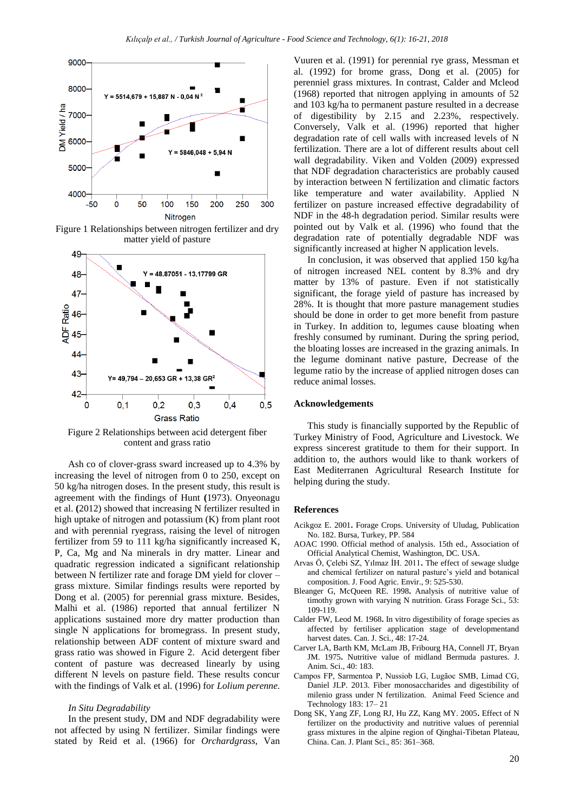

Figure 1 Relationships between nitrogen fertilizer and dry matter yield of pasture



Figure 2 Relationships between acid detergent fiber content and grass ratio

Ash co of clover-grass sward increased up to 4.3% by increasing the level of nitrogen from 0 to 250, except on 50 kg/ha nitrogen doses. In the present study, this result is agreement with the findings of Hunt **(**1973). Onyeonagu et al. **(**2012) showed that increasing N fertilizer resulted in high uptake of nitrogen and potassium (K) from plant root and with perennial ryegrass*,* raising the level of nitrogen fertilizer from 59 to 111 kg/ha significantly increased K, P, Ca, Mg and Na minerals in dry matter. Linear and quadratic regression indicated a significant relationship between N fertilizer rate and forage DM yield for clover – grass mixture. Similar findings results were reported by Dong et al. (2005) for perennial grass mixture. Besides, Malhi et al. (1986) reported that annual fertilizer N applications sustained more dry matter production than single N applications for bromegrass. In present study, relationship between ADF content of mixture sward and grass ratio was showed in Figure 2. Acid detergent fiber content of pasture was decreased linearly by using different N levels on pasture field. These results concur with the findings of Valk et al. (1996) for *Lolium perenne.*

#### *In Situ Degradability*

In the present study, DM and NDF degradability were not affected by using N fertilizer. Similar findings were stated by Reid et al. (1966) for *Orchardgrass*, Van

Vuuren et al. (1991) for perennial rye grass, Messman et al. (1992) for brome grass*,* Dong et al. (2005) for perenniel grass mixtures. In contrast, Calder and Mcleod (1968) reported that nitrogen applying in amounts of 52 and 103 kg/ha to permanent pasture resulted in a decrease of digestibility by 2.15 and 2.23%, respectively. Conversely, Valk et al. (1996) reported that higher degradation rate of cell walls with increased levels of N fertilization. There are a lot of different results about cell wall degradability. Viken and Volden (2009) expressed that NDF degradation characteristics are probably caused by interaction between N fertilization and climatic factors like temperature and water availability. Applied N fertilizer on pasture increased effective degradability of NDF in the 48-h degradation period. Similar results were pointed out by Valk et al. (1996) who found that the degradation rate of potentially degradable NDF was significantly increased at higher N application levels.

In conclusion, it was observed that applied 150 kg/ha of nitrogen increased NEL content by 8.3% and dry matter by 13% of pasture. Even if not statistically significant, the forage yield of pasture has increased by 28%. It is thought that more pasture management studies should be done in order to get more benefit from pasture in Turkey. In addition to, legumes cause bloating when freshly consumed by ruminant. During the spring period, the bloating losses are increased in the grazing animals. In the legume dominant native pasture, Decrease of the legume ratio by the increase of applied nitrogen doses can reduce animal losses.

## **Acknowledgements**

This study is financially supported by the Republic of Turkey Ministry of Food, Agriculture and Livestock. We express sincerest gratitude to them for their support. In addition to, the authors would like to thank workers of East Mediterranen Agricultural Research Institute for helping during the study.

## **References**

- Acikgoz E. 2001**.** Forage Crops. University of Uludag, Publication No. 182. Bursa, Turkey, PP. 584
- AOAC 1990. Official method of analysis. 15th ed., Association of Official Analytical Chemist, Washington, DC. USA.
- Arvas Ö, Çelebi SZ, Yılmaz İH. 2011**.** The effect of sewage sludge and chemical fertilizer on natural pasture's yield and botanical composition. J. Food Agric. Envir., 9: 525-530.
- Bleanger G, McQueen RE. 1998**.** Analysis of nutritive value of timothy grown with varying N nutrition. Grass Forage Sci., 53: 109-119.
- Calder FW, Leod M. 1968**.** In vitro digestibility of forage species as affected by fertiliser application stage of developmentand harvest dates*.* Can. J. Sci*.,* 48: 17-24.
- Carver LA, Barth KM, McLam JB, Fribourg HA, Connell JT, Bryan JM. 1975**.** Nutritive value of midland Bermuda pastures*.* J. Anim. Sci., 40: 183.
- Campos FP, Sarmentoa P, Nussiob LG, Lugãoc SMB, Limad CG, Daniel JLP. 2013. Fiber monosaccharides and digestibility of milenio grass under N fertilization. Animal Feed Science and Technology 183: 17– 21
- Dong SK, Yang ZF, Long RJ, Hu ZZ, Kang MY. 2005**.** Effect of N fertilizer on the productivity and nutritive values of perennial grass mixtures in the alpine region of Qinghai-Tibetan Plateau, China. Can. J. Plant Sci., 85: 361–368.